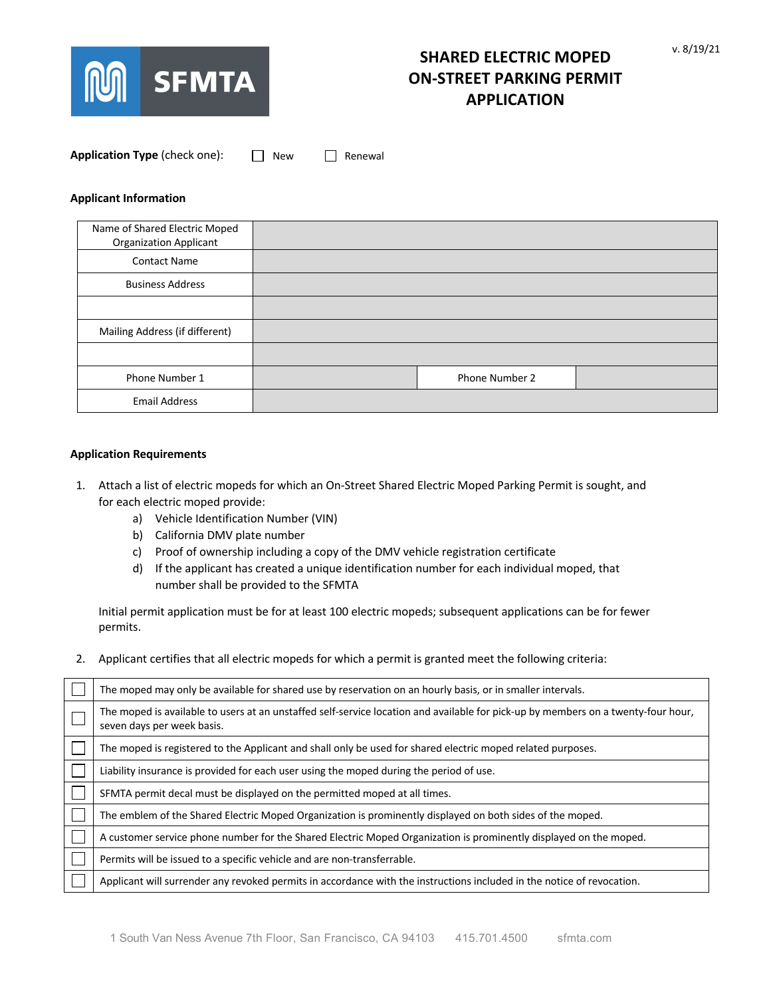

| Application Type (check one): |  | $\Box$ New | $\Box$ Renewal |
|-------------------------------|--|------------|----------------|
|-------------------------------|--|------------|----------------|

## **Applicant Information**

| Name of Shared Electric Moped<br><b>Organization Applicant</b> |                |  |
|----------------------------------------------------------------|----------------|--|
| <b>Contact Name</b>                                            |                |  |
| <b>Business Address</b>                                        |                |  |
|                                                                |                |  |
| Mailing Address (if different)                                 |                |  |
|                                                                |                |  |
| Phone Number 1                                                 | Phone Number 2 |  |
| <b>Email Address</b>                                           |                |  |

### **Application Requirements**

- 1. Attach a list of electric mopeds for which an On-Street Shared Electric Moped Parking Permit is sought, and for each electric moped provide:
	- a) Vehicle Identification Number (VIN)
	- b) California DMV plate number
	- c) Proof of ownership including a copy of the DMV vehicle registration certificate
	- d) If the applicant has created a unique identification number for each individual moped, that number shall be provided to the SFMTA

Initial permit application must be for at least 100 electric mopeds; subsequent applications can be for fewer permits.

2. Applicant certifies that all electric mopeds for which a permit is granted meet the following criteria:

| The moped may only be available for shared use by reservation on an hourly basis, or in smaller intervals.                                                      |
|-----------------------------------------------------------------------------------------------------------------------------------------------------------------|
| The moped is available to users at an unstaffed self-service location and available for pick-up by members on a twenty-four hour,<br>seven days per week basis. |
| The moped is registered to the Applicant and shall only be used for shared electric moped related purposes.                                                     |
| Liability insurance is provided for each user using the moped during the period of use.                                                                         |
| SFMTA permit decal must be displayed on the permitted moped at all times.                                                                                       |
| The emblem of the Shared Electric Moped Organization is prominently displayed on both sides of the moped.                                                       |
| A customer service phone number for the Shared Electric Moped Organization is prominently displayed on the moped.                                               |
| Permits will be issued to a specific vehicle and are non-transferrable.                                                                                         |
| Applicant will surrender any revoked permits in accordance with the instructions included in the notice of revocation.                                          |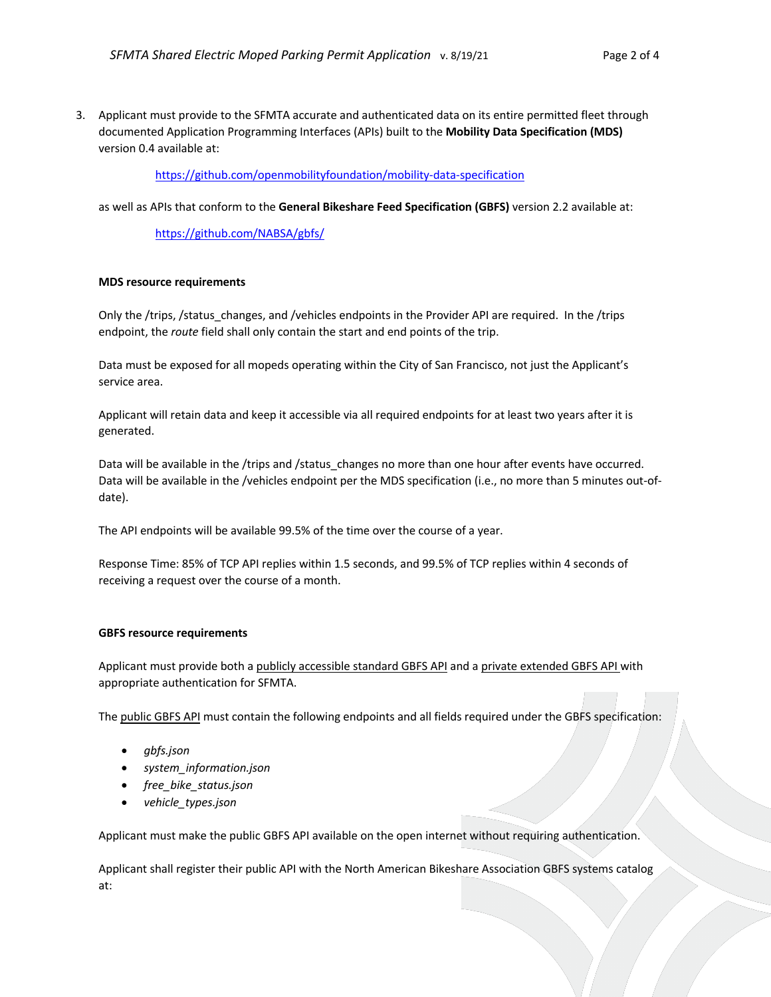3. Applicant must provide to the SFMTA accurate and authenticated data on its entire permitted fleet through documented Application Programming Interfaces (APIs) built to the **Mobility Data Specification (MDS)** version 0.4 available at:

https://github.com/openmobilityfoundation/mobility-data-specification

as well as APIs that conform to the **General Bikeshare Feed Specification (GBFS)** version 2.2 available at:

https://github.com/NABSA/gbfs/

### **MDS resource requirements**

Only the /trips, /status changes, and /vehicles endpoints in the Provider API are required. In the /trips endpoint, the *route* field shall only contain the start and end points of the trip.

Data must be exposed for all mopeds operating within the City of San Francisco, not just the Applicant's service area.

Applicant will retain data and keep it accessible via all required endpoints for at least two years after it is generated.

Data will be available in the /trips and /status changes no more than one hour after events have occurred. Data will be available in the /vehicles endpoint per the MDS specification (i.e., no more than 5 minutes out-ofdate).

The API endpoints will be available 99.5% of the time over the course of a year.

Response Time: 85% of TCP API replies within 1.5 seconds, and 99.5% of TCP replies within 4 seconds of receiving a request over the course of a month.

### **GBFS resource requirements**

Applicant must provide both a publicly accessible standard GBFS API and a private extended GBFS API with appropriate authentication for SFMTA.

The public GBFS API must contain the following endpoints and all fields required under the GBFS specification:

- *gbfs.json*
- *system\_information.json*
- *free\_bike\_status.json*
- *vehicle\_types.json*

Applicant must make the public GBFS API available on the open internet without requiring authentication.

Applicant shall register their public API with the North American Bikeshare Association GBFS systems catalog at: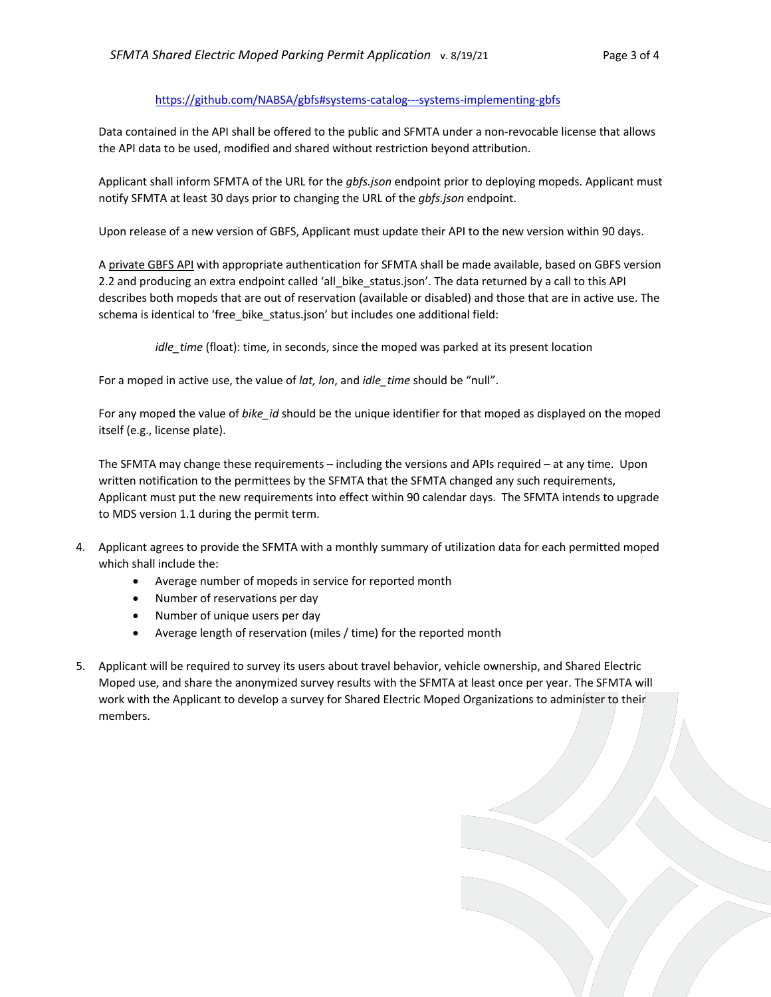# https://github.com/NABSA/gbfs#systems-catalog---systems-implementing-gbfs

Data contained in the API shall be offered to the public and SFMTA under a non-revocable license that allows the API data to be used, modified and shared without restriction beyond attribution.

Applicant shall inform SFMTA of the URL for the *gbfs.json* endpoint prior to deploying mopeds. Applicant must notify SFMTA at least 30 days prior to changing the URL of the *gbfs.json* endpoint.

Upon release of a new version of GBFS, Applicant must update their API to the new version within 90 days.

A private GBFS API with appropriate authentication for SFMTA shall be made available, based on GBFS version 2.2 and producing an extra endpoint called 'all\_bike\_status.json'. The data returned by a call to this API describes both mopeds that are out of reservation (available or disabled) and those that are in active use. The schema is identical to 'free bike status.json' but includes one additional field:

*idle\_time* (float): time, in seconds, since the moped was parked at its present location

For a moped in active use, the value of *lat, lon*, and *idle\_time* should be "null".

For any moped the value of *bike\_id* should be the unique identifier for that moped as displayed on the moped itself (e.g., license plate).

The SFMTA may change these requirements – including the versions and APIs required – at any time. Upon written notification to the permittees by the SFMTA that the SFMTA changed any such requirements, Applicant must put the new requirements into effect within 90 calendar days. The SFMTA intends to upgrade to MDS version 1.1 during the permit term.

- 4. Applicant agrees to provide the SFMTA with a monthly summary of utilization data for each permitted moped which shall include the:
	- Average number of mopeds in service for reported month
	- Number of reservations per day
	- Number of unique users per day
	- Average length of reservation (miles / time) for the reported month
- 5. Applicant will be required to survey its users about travel behavior, vehicle ownership, and Shared Electric Moped use, and share the anonymized survey results with the SFMTA at least once per year. The SFMTA will work with the Applicant to develop a survey for Shared Electric Moped Organizations to administer to their members.